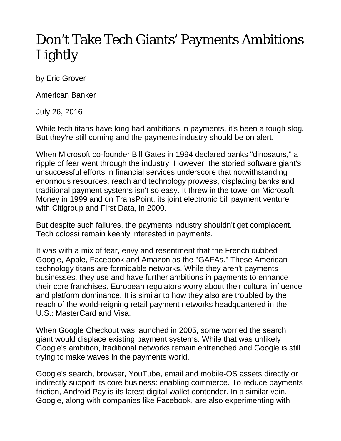## Don't Take Tech Giants' Payments Ambitions Lightly

by Eric Grover

American Banker

July 26, 2016

While tech titans have long had ambitions in payments, it's been a tough slog. But they're still coming and the payments industry should be on alert.

When Microsoft co-founder Bill Gates in 1994 declared banks "dinosaurs," a ripple of fear went through the industry. However, the storied software giant's unsuccessful efforts in financial services underscore that notwithstanding enormous resources, reach and technology prowess, displacing banks and traditional payment systems isn't so easy. It threw in the towel on Microsoft Money in 1999 and on TransPoint, its joint electronic bill payment venture with Citigroup and First Data, in 2000.

But despite such failures, the payments industry shouldn't get complacent. Tech colossi remain keenly interested in payments.

It was with a mix of fear, envy and resentment that the French dubbed Google, Apple, Facebook and Amazon as the "GAFAs." These American technology titans are formidable networks. While they aren't payments businesses, they use and have further ambitions in payments to enhance their core franchises. European regulators worry about their cultural influence and platform dominance. It is similar to how they also are troubled by the reach of the world-reigning retail payment networks headquartered in the U.S.: MasterCard and Visa.

When Google Checkout was launched in 2005, some worried the search giant would displace existing payment systems. While that was unlikely Google's ambition, traditional networks remain entrenched and Google is still trying to make waves in the payments world.

Google's search, browser, YouTube, email and mobile-OS assets directly or indirectly support its core business: enabling commerce. To reduce payments friction, Android Pay is its latest digital-wallet contender. In a similar vein, Google, along with companies like Facebook, are also experimenting with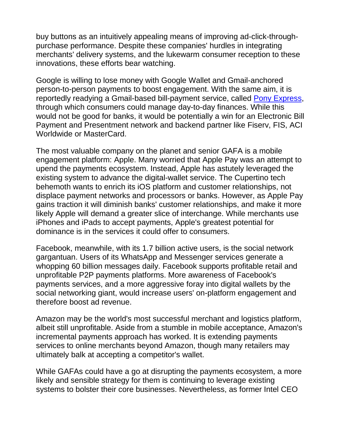buy buttons as an intuitively appealing means of improving ad-click-throughpurchase performance. Despite these companies' hurdles in integrating merchants' delivery systems, and the lukewarm consumer reception to these innovations, these efforts bear watching.

Google is willing to lose money with Google Wallet and Gmail-anchored person-to-person payments to boost engagement. With the same aim, it is reportedly readying a Gmail-based bill-payment service, called [Pony Express,](http://www.recode.net/2015/3/24/11560634/google-working-on-project-to-let-you-receive-and-pay-bills-directly) through which consumers could manage day-to-day finances. While this would not be good for banks, it would be potentially a win for an Electronic Bill Payment and Presentment network and backend partner like Fiserv, FIS, ACI Worldwide or MasterCard.

The most valuable company on the planet and senior GAFA is a mobile engagement platform: Apple. Many worried that Apple Pay was an attempt to upend the payments ecosystem. Instead, Apple has astutely leveraged the existing system to advance the digital-wallet service. The Cupertino tech behemoth wants to enrich its iOS platform and customer relationships, not displace payment networks and processors or banks. However, as Apple Pay gains traction it will diminish banks' customer relationships, and make it more likely Apple will demand a greater slice of interchange. While merchants use iPhones and iPads to accept payments, Apple's greatest potential for dominance is in the services it could offer to consumers.

Facebook, meanwhile, with its 1.7 billion active users, is the social network gargantuan. Users of its WhatsApp and Messenger services generate a whopping 60 billion messages daily. Facebook supports profitable retail and unprofitable P2P payments platforms. More awareness of Facebook's payments services, and a more aggressive foray into digital wallets by the social networking giant, would increase users' on-platform engagement and therefore boost ad revenue.

Amazon may be the world's most successful merchant and logistics platform, albeit still unprofitable. Aside from a stumble in mobile acceptance, Amazon's incremental payments approach has worked. It is extending payments services to online merchants beyond Amazon, though many retailers may ultimately balk at accepting a competitor's wallet.

While GAFAs could have a go at disrupting the payments ecosystem, a more likely and sensible strategy for them is continuing to leverage existing systems to bolster their core businesses. Nevertheless, as former Intel CEO